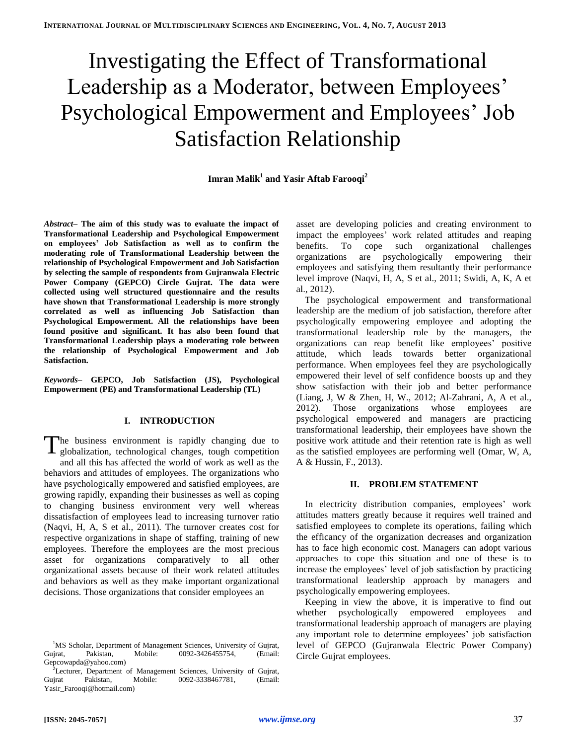# Investigating the Effect of Transformational Leadership as a Moderator, between Employees' Psychological Empowerment and Employees' Job Satisfaction Relationship

# **Imran Malik<sup>1</sup> and Yasir Aftab Farooqi<sup>2</sup>**

*Abstract–* **The aim of this study was to evaluate the impact of Transformational Leadership and Psychological Empowerment on employees' Job Satisfaction as well as to confirm the moderating role of Transformational Leadership between the relationship of Psychological Empowerment and Job Satisfaction by selecting the sample of respondents from Gujranwala Electric Power Company (GEPCO) Circle Gujrat. The data were collected using well structured questionnaire and the results have shown that Transformational Leadership is more strongly correlated as well as influencing Job Satisfaction than Psychological Empowerment. All the relationships have been found positive and significant. It has also been found that Transformational Leadership plays a moderating role between the relationship of Psychological Empowerment and Job Satisfaction.**

*Keywords–* **GEPCO, Job Satisfaction (JS), Psychological Empowerment (PE) and Transformational Leadership (TL)**

## **I. INTRODUCTION**

he business environment is rapidly changing due to The business environment is rapidly changing due to globalization, technological changes, tough competition and all this has affected the world of work as well as the behaviors and attitudes of employees. The organizations who have psychologically empowered and satisfied employees, are growing rapidly, expanding their businesses as well as coping to changing business environment very well whereas dissatisfaction of employees lead to increasing turnover ratio (Naqvi, H, A, S et al., 2011). The turnover creates cost for respective organizations in shape of staffing, training of new employees. Therefore the employees are the most precious asset for organizations comparatively to all other organizational assets because of their work related attitudes and behaviors as well as they make important organizational decisions. Those organizations that consider employees an

asset are developing policies and creating environment to impact the employees' work related attitudes and reaping benefits. To cope such organizational challenges organizations are psychologically empowering their employees and satisfying them resultantly their performance level improve (Naqvi, H, A, S et al., 2011; Swidi, A, K, A et al., 2012).

The psychological empowerment and transformational leadership are the medium of job satisfaction, therefore after psychologically empowering employee and adopting the transformational leadership role by the managers, the organizations can reap benefit like employees' positive attitude, which leads towards better organizational performance. When employees feel they are psychologically empowered their level of self confidence boosts up and they show satisfaction with their job and better performance (Liang, J, W & Zhen, H, W., 2012; Al-Zahrani, A, A et al., 2012). Those organizations whose employees are psychological empowered and managers are practicing transformational leadership, their employees have shown the positive work attitude and their retention rate is high as well as the satisfied employees are performing well (Omar, W, A, A & Hussin, F., 2013).

## **II. PROBLEM STATEMENT**

In electricity distribution companies, employees' work attitudes matters greatly because it requires well trained and satisfied employees to complete its operations, failing which the efficancy of the organization decreases and organization has to face high economic cost. Managers can adopt various approaches to cope this situation and one of these is to increase the employees' level of job satisfaction by practicing transformational leadership approach by managers and psychologically empowering employees.

Keeping in view the above, it is imperative to find out whether psychologically empowered employees and transformational leadership approach of managers are playing any important role to determine employees' job satisfaction level of GEPCO (Gujranwala Electric Power Company) Circle Gujrat employees.

<sup>&</sup>lt;sup>1</sup>MS Scholar, Department of Management Sciences, University of Gujrat, Gujrat, Pakistan, Mobile: 0092-3426455754, (Email: Gepcowapda@yahoo.com)

<sup>2</sup>Lecturer, Department of Management Sciences, University of Gujrat, Gujrat Pakistan, Mobile: 0092-3338467781, (Email: Yasir\_Farooqi@hotmail.com)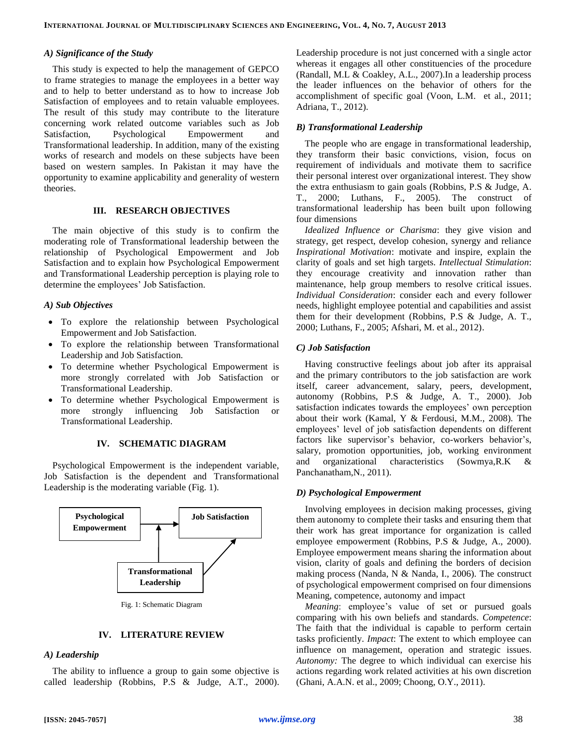#### *A) Significance of the Study*

This study is expected to help the management of GEPCO to frame strategies to manage the employees in a better way and to help to better understand as to how to increase Job Satisfaction of employees and to retain valuable employees. The result of this study may contribute to the literature concerning work related outcome variables such as Job Satisfaction, Psychological Empowerment and Transformational leadership. In addition, many of the existing works of research and models on these subjects have been based on western samples. In Pakistan it may have the opportunity to examine applicability and generality of western theories.

#### **III. RESEARCH OBJECTIVES**

The main objective of this study is to confirm the moderating role of Transformational leadership between the relationship of Psychological Empowerment and Job Satisfaction and to explain how Psychological Empowerment and Transformational Leadership perception is playing role to determine the employees' Job Satisfaction.

#### *A) Sub Objectives*

- To explore the relationship between Psychological Empowerment and Job Satisfaction.
- To explore the relationship between Transformational Leadership and Job Satisfaction.
- To determine whether Psychological Empowerment is more strongly correlated with Job Satisfaction or Transformational Leadership.
- To determine whether Psychological Empowerment is more strongly influencing Job Satisfaction or Transformational Leadership.

#### **IV. SCHEMATIC DIAGRAM**

Psychological Empowerment is the independent variable, Job Satisfaction is the dependent and Transformational Leadership is the moderating variable (Fig. 1).



#### **IV. LITERATURE REVIEW**

#### *A) Leadership*

The ability to influence a group to gain some objective is called leadership (Robbins, P.S & Judge, A.T., 2000). Leadership procedure is not just concerned with a single actor whereas it engages all other constituencies of the procedure (Randall, M.L & Coakley, A.L., 2007).In a leadership process the leader influences on the behavior of others for the accomplishment of specific goal (Voon, L.M. et al., 2011; Adriana, T., 2012).

#### *B) Transformational Leadership*

The people who are engage in transformational leadership, they transform their basic convictions, vision, focus on requirement of individuals and motivate them to sacrifice their personal interest over organizational interest. They show the extra enthusiasm to gain goals (Robbins, P.S & Judge, A. T., 2000; Luthans, F., 2005). The construct of transformational leadership has been built upon following four dimensions

*Idealized Influence or Charisma*: they give vision and strategy, get respect, develop cohesion, synergy and reliance *Inspirational Motivation*: motivate and inspire, explain the clarity of goals and set high targets. *Intellectual Stimulation*: they encourage creativity and innovation rather than maintenance, help group members to resolve critical issues. *Individual Consideration*: consider each and every follower needs, highlight employee potential and capabilities and assist them for their development (Robbins, P.S & Judge, A. T., 2000; Luthans, F., 2005; Afshari, M. et al., 2012).

#### *C) Job Satisfaction*

Having constructive feelings about job after its appraisal and the primary contributors to the job satisfaction are work itself, career advancement, salary, peers, development, autonomy (Robbins, P.S & Judge, A. T., 2000). Job satisfaction indicates towards the employees' own perception about their work (Kamal, Y & Ferdousi, M.M., 2008). The employees' level of job satisfaction dependents on different factors like supervisor's behavior, co-workers behavior's, salary, promotion opportunities, job, working environment and organizational characteristics (Sowmya,R.K & Panchanatham,N., 2011).

#### *D) Psychological Empowerment*

Involving employees in decision making processes, giving them autonomy to complete their tasks and ensuring them that their work has great importance for organization is called employee empowerment (Robbins, P.S & Judge, A., 2000). Employee empowerment means sharing the information about vision, clarity of goals and defining the borders of decision making process (Nanda, N & Nanda, I., 2006). The construct of psychological empowerment comprised on four dimensions Meaning, competence, autonomy and impact

*Meaning*: employee's value of set or pursued goals comparing with his own beliefs and standards. *Competence*: The faith that the individual is capable to perform certain tasks proficiently. *Impact*: The extent to which employee can influence on management, operation and strategic issues. *Autonomy:* The degree to which individual can exercise his actions regarding work related activities at his own discretion (Ghani, A.A.N. et al., 2009; Choong, O.Y., 2011).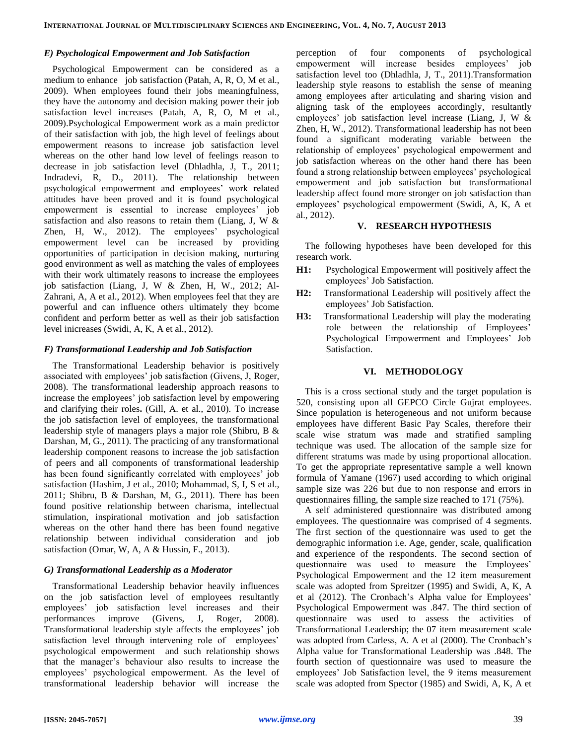#### *E) Psychological Empowerment and Job Satisfaction*

Psychological Empowerment can be considered as a medium to enhance job satisfaction (Patah, A, R, O, M et al., 2009). When employees found their jobs meaningfulness, they have the autonomy and decision making power their job satisfaction level increases (Patah, A, R, O, M et al., 2009).Psychological Empowerment work as a main predictor of their satisfaction with job, the high level of feelings about empowerment reasons to increase job satisfaction level whereas on the other hand low level of feelings reason to decrease in job satisfaction level (Dhladhla, J, T., 2011; Indradevi, R, D., 2011). The relationship between psychological empowerment and employees' work related attitudes have been proved and it is found psychological empowerment is essential to increase employees' job satisfaction and also reasons to retain them (Liang, J, W & Zhen, H, W., 2012). The employees' psychological empowerment level can be increased by providing opportunities of participation in decision making, nurturing good environment as well as matching the vales of employees with their work ultimately reasons to increase the employees job satisfaction (Liang, J, W & Zhen, H, W., 2012; Al-Zahrani, A, A et al., 2012). When employees feel that they are powerful and can influence others ultimately they bcome confident and perform better as well as their job satisfaction level inicreases (Swidi, A, K, A et al., 2012).

#### *F) Transformational Leadership and Job Satisfaction*

The Transformational Leadership behavior is positively associated with employees' job satisfaction (Givens, J, Roger, 2008). The transformational leadership approach reasons to increase the employees' job satisfaction level by empowering and clarifying their roles**.** (Gill, A. et al., 2010). To increase the job satisfaction level of employees, the transformational leadership style of managers plays a major role (Shibru, B & Darshan, M, G., 2011). The practicing of any transformational leadership component reasons to increase the job satisfaction of peers and all components of transformational leadership has been found significantly correlated with employees' job satisfaction (Hashim, J et al., 2010; Mohammad, S, I, S et al., 2011; Shibru, B & Darshan, M, G., 2011). There has been found positive relationship between charisma, intellectual stimulation, inspirational motivation and job satisfaction whereas on the other hand there has been found negative relationship between individual consideration and job satisfaction (Omar, W, A, A & Hussin, F., 2013).

## *G) Transformational Leadership as a Moderator*

Transformational Leadership behavior heavily influences on the job satisfaction level of employees resultantly employees' job satisfaction level increases and their performances improve (Givens, J, Roger, 2008). Transformational leadership style affects the employees' job satisfaction level through intervening role of employees' psychological empowerment and such relationship shows that the manager's behaviour also results to increase the employees' psychological empowerment. As the level of transformational leadership behavior will increase the

perception of four components of psychological empowerment will increase besides employees' job satisfaction level too (Dhladhla, J, T., 2011).Transformation leadership style reasons to establish the sense of meaning among employees after articulating and sharing vision and aligning task of the employees accordingly, resultantly employees' job satisfaction level increase (Liang, J, W & Zhen, H, W., 2012). Transformational leadership has not been found a significant moderating variable between the relationship of employees' psychological empowerment and job satisfaction whereas on the other hand there has been found a strong relationship between employees' psychological empowerment and job satisfaction but transformational leadership affect found more stronger on job satisfaction than employees' psychological empowerment (Swidi, A, K, A et al., 2012).

#### **V. RESEARCH HYPOTHESIS**

The following hypotheses have been developed for this research work.

- **H1:** Psychological Empowerment will positively affect the employees' Job Satisfaction.
- **H2:** Transformational Leadership will positively affect the employees' Job Satisfaction.
- **H3:** Transformational Leadership will play the moderating role between the relationship of Employees' Psychological Empowerment and Employees' Job Satisfaction.

#### **VI. METHODOLOGY**

This is a cross sectional study and the target population is 520, consisting upon all GEPCO Circle Gujrat employees. Since population is heterogeneous and not uniform because employees have different Basic Pay Scales, therefore their scale wise stratum was made and stratified sampling technique was used. The allocation of the sample size for different stratums was made by using proportional allocation. To get the appropriate representative sample a well known formula of Yamane (1967) used according to which original sample size was 226 but due to non response and errors in questionnaires filling, the sample size reached to 171 (75%).

A self administered questionnaire was distributed among employees. The questionnaire was comprised of 4 segments. The first section of the questionnaire was used to get the demographic information i.e. Age, gender, scale, qualification and experience of the respondents. The second section of questionnaire was used to measure the Employees' Psychological Empowerment and the 12 item measurement scale was adopted from Spreitzer (1995) and Swidi, A, K, A et al (2012). The Cronbach's Alpha value for Employees' Psychological Empowerment was .847. The third section of questionnaire was used to assess the activities of Transformational Leadership; the 07 item measurement scale was adopted from Carless, A. A et al (2000). The Cronbach's Alpha value for Transformational Leadership was .848. The fourth section of questionnaire was used to measure the employees' Job Satisfaction level, the 9 items measurement scale was adopted from Spector (1985) and Swidi, A, K, A et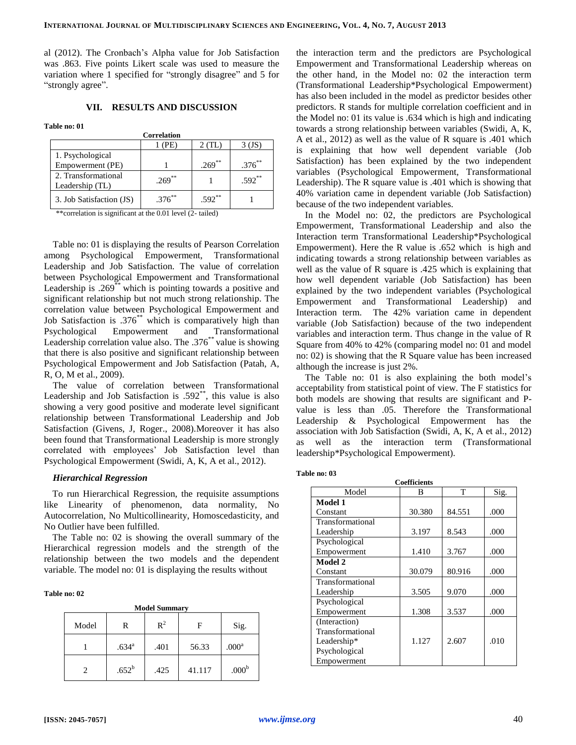al (2012). The Cronbach's Alpha value for Job Satisfaction was .863. Five points Likert scale was used to measure the variation where 1 specified for "strongly disagree" and 5 for "strongly agree".

## **VII. RESULTS AND DISCUSSION**

**Table no: 01**

| <b>Correlation</b>       |             |           |             |  |  |
|--------------------------|-------------|-----------|-------------|--|--|
|                          | (PE)        | $2$ (TL)  | 3 (JS)      |  |  |
| 1. Psychological         |             |           |             |  |  |
| Empowerment (PE)         |             | $.269***$ | $.376^{**}$ |  |  |
| 2. Transformational      | $.269***$   |           | $.592**$    |  |  |
| Leadership (TL)          |             |           |             |  |  |
| 3. Job Satisfaction (JS) | $.376^{**}$ | $.592**$  |             |  |  |
|                          |             |           |             |  |  |

\*\*correlation is significant at the 0.01 level (2- tailed)

Table no: 01 is displaying the results of Pearson Correlation among Psychological Empowerment, Transformational Leadership and Job Satisfaction. The value of correlation between Psychological Empowerment and Transformational Leadership is .269<sup>\*\*</sup> which is pointing towards a positive and significant relationship but not much strong relationship. The correlation value between Psychological Empowerment and Job Satisfaction is .376\*\* which is comparatively high than Psychological Empowerment and Transformational Leadership correlation value also. The  $.376^{**}$  value is showing that there is also positive and significant relationship between Psychological Empowerment and Job Satisfaction (Patah, A, R, O, M et al., 2009).

The value of correlation between Transformational Leadership and Job Satisfaction is  $.592<sup>**</sup>$ , this value is also showing a very good positive and moderate level significant relationship between Transformational Leadership and Job Satisfaction (Givens, J, Roger., 2008).Moreover it has also been found that Transformational Leadership is more strongly correlated with employees' Job Satisfaction level than Psychological Empowerment (Swidi, A, K, A et al., 2012).

## *Hierarchical Regression*

To run Hierarchical Regression, the requisite assumptions like Linearity of phenomenon, data normality, No Autocorrelation, No Multicollinearity, Homoscedasticity, and No Outlier have been fulfilled.

The Table no: 02 is showing the overall summary of the Hierarchical regression models and the strength of the relationship between the two models and the dependent variable. The model no: 01 is displaying the results without

#### **Table no: 02**

| <b>Model Summary</b>        |                   |                |        |                   |  |  |  |
|-----------------------------|-------------------|----------------|--------|-------------------|--|--|--|
| Model                       | R                 | $\mathbb{R}^2$ | F      | Sig.              |  |  |  |
|                             | .634 <sup>a</sup> | .401           | 56.33  | .000 <sup>a</sup> |  |  |  |
| $\mathcal{D}_{\mathcal{A}}$ | $.652^b$          | .425           | 41.117 | .000 <sup>b</sup> |  |  |  |

the interaction term and the predictors are Psychological Empowerment and Transformational Leadership whereas on the other hand, in the Model no: 02 the interaction term (Transformational Leadership\*Psychological Empowerment) has also been included in the model as predictor besides other predictors. R stands for multiple correlation coefficient and in the Model no: 01 its value is .634 which is high and indicating towards a strong relationship between variables (Swidi, A, K, A et al., 2012) as well as the value of R square is .401 which is explaining that how well dependent variable (Job Satisfaction) has been explained by the two independent variables (Psychological Empowerment, Transformational Leadership). The R square value is .401 which is showing that 40% variation came in dependent variable (Job Satisfaction) because of the two independent variables.

In the Model no: 02, the predictors are Psychological Empowerment, Transformational Leadership and also the Interaction term Transformational Leadership\*Psychological Empowerment). Here the R value is .652 which is high and indicating towards a strong relationship between variables as well as the value of R square is .425 which is explaining that how well dependent variable (Job Satisfaction) has been explained by the two independent variables (Psychological Empowerment and Transformational Leadership) and Interaction term. The 42% variation came in dependent variable (Job Satisfaction) because of the two independent variables and interaction term. Thus change in the value of R Square from 40% to 42% (comparing model no: 01 and model no: 02) is showing that the R Square value has been increased although the increase is just 2%.

The Table no: 01 is also explaining the both model's acceptability from statistical point of view. The F statistics for both models are showing that results are significant and Pvalue is less than .05. Therefore the Transformational Leadership & Psychological Empowerment has the association with Job Satisfaction (Swidi, A, K, A et al., 2012) as well as the interaction term (Transformational leadership\*Psychological Empowerment).

#### **Table no: 03**

| <b>Coefficients</b> |        |        |      |  |  |  |  |
|---------------------|--------|--------|------|--|--|--|--|
| Model               | В      | т      | Sig. |  |  |  |  |
| Model 1             |        |        |      |  |  |  |  |
| Constant            | 30.380 | 84.551 | .000 |  |  |  |  |
| Transformational    |        |        |      |  |  |  |  |
| Leadership          | 3.197  | 8.543  | .000 |  |  |  |  |
| Psychological       |        |        |      |  |  |  |  |
| Empowerment         | 1.410  | 3.767  | .000 |  |  |  |  |
| Model 2             |        |        |      |  |  |  |  |
| Constant            | 30.079 | 80.916 | .000 |  |  |  |  |
| Transformational    |        |        |      |  |  |  |  |
| Leadership          | 3.505  | 9.070  | .000 |  |  |  |  |
| Psychological       |        |        |      |  |  |  |  |
| Empowerment         | 1.308  | 3.537  | .000 |  |  |  |  |
| (Interaction)       |        |        |      |  |  |  |  |
| Transformational    |        |        |      |  |  |  |  |
| Leadership*         | 1.127  | 2.607  | .010 |  |  |  |  |
| Psychological       |        |        |      |  |  |  |  |
| Empowerment         |        |        |      |  |  |  |  |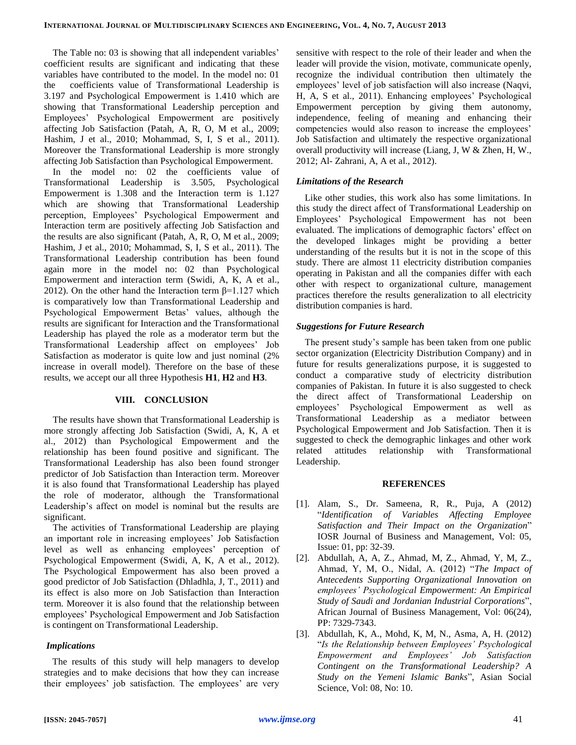The Table no: 03 is showing that all independent variables' coefficient results are significant and indicating that these variables have contributed to the model. In the model no: 01 the coefficients value of Transformational Leadership is 3.197 and Psychological Empowerment is 1.410 which are showing that Transformational Leadership perception and Employees' Psychological Empowerment are positively affecting Job Satisfaction (Patah, A, R, O, M et al., 2009; Hashim, J et al., 2010; Mohammad, S, I, S et al., 2011). Moreover the Transformational Leadership is more strongly affecting Job Satisfaction than Psychological Empowerment.

In the model no: 02 the coefficients value of Transformational Leadership is 3.505, Psychological Empowerment is 1.308 and the Interaction term is 1.127 which are showing that Transformational Leadership perception, Employees' Psychological Empowerment and Interaction term are positively affecting Job Satisfaction and the results are also significant (Patah, A, R, O, M et al., 2009; Hashim, J et al., 2010; Mohammad, S, I, S et al., 2011). The Transformational Leadership contribution has been found again more in the model no: 02 than Psychological Empowerment and interaction term (Swidi, A, K, A et al., 2012). On the other hand the Interaction term  $\beta$ =1.127 which is comparatively low than Transformational Leadership and Psychological Empowerment Betas' values, although the results are significant for Interaction and the Transformational Leadership has played the role as a moderator term but the Transformational Leadership affect on employees' Job Satisfaction as moderator is quite low and just nominal (2% increase in overall model). Therefore on the base of these results, we accept our all three Hypothesis **H1**, **H2** and **H3**.

## **VIII. CONCLUSION**

The results have shown that Transformational Leadership is more strongly affecting Job Satisfaction (Swidi, A, K, A et al., 2012) than Psychological Empowerment and the relationship has been found positive and significant. The Transformational Leadership has also been found stronger predictor of Job Satisfaction than Interaction term. Moreover it is also found that Transformational Leadership has played the role of moderator, although the Transformational Leadership's affect on model is nominal but the results are significant.

The activities of Transformational Leadership are playing an important role in increasing employees' Job Satisfaction level as well as enhancing employees' perception of Psychological Empowerment (Swidi, A, K, A et al., 2012). The Psychological Empowerment has also been proved a good predictor of Job Satisfaction (Dhladhla, J, T., 2011) and its effect is also more on Job Satisfaction than Interaction term. Moreover it is also found that the relationship between employees' Psychological Empowerment and Job Satisfaction is contingent on Transformational Leadership.

## *Implications*

The results of this study will help managers to develop strategies and to make decisions that how they can increase their employees' job satisfaction. The employees' are very

sensitive with respect to the role of their leader and when the leader will provide the vision, motivate, communicate openly, recognize the individual contribution then ultimately the employees' level of job satisfaction will also increase (Naqvi, H, A, S et al., 2011). Enhancing employees' Psychological Empowerment perception by giving them autonomy, independence, feeling of meaning and enhancing their competencies would also reason to increase the employees' Job Satisfaction and ultimately the respective organizational overall productivity will increase (Liang, J, W & Zhen, H, W., 2012; Al- Zahrani, A, A et al., 2012).

#### *Limitations of the Research*

Like other studies, this work also has some limitations. In this study the direct affect of Transformational Leadership on Employees' Psychological Empowerment has not been evaluated. The implications of demographic factors' effect on the developed linkages might be providing a better understanding of the results but it is not in the scope of this study. There are almost 11 electricity distribution companies operating in Pakistan and all the companies differ with each other with respect to organizational culture, management practices therefore the results generalization to all electricity distribution companies is hard.

#### *Suggestions for Future Research*

The present study's sample has been taken from one public sector organization (Electricity Distribution Company) and in future for results generalizations purpose, it is suggested to conduct a comparative study of electricity distribution companies of Pakistan. In future it is also suggested to check the direct affect of Transformational Leadership on employees' Psychological Empowerment as well as Transformational Leadership as a mediator between Psychological Empowerment and Job Satisfaction. Then it is suggested to check the demographic linkages and other work related attitudes relationship with Transformational Leadership.

#### **REFERENCES**

- [1]. Alam, S., Dr. Sameena, R, R., Puja, A (2012) "*Identification of Variables Affecting Employee Satisfaction and Their Impact on the Organization*" IOSR Journal of Business and Management, Vol: 05, Issue: 01, pp: 32-39.
- [2]. Abdullah, A, A, Z., Ahmad, M, Z., Ahmad, Y, M, Z., Ahmad, Y, M, O., Nidal, A. (2012) "*The Impact of Antecedents Supporting Organizational Innovation on employees' Psychological Empowerment: An Empirical Study of Saudi and Jordanian Industrial Corporations*", African Journal of Business Management, Vol: 06(24), PP: 7329-7343.
- [3]. Abdullah, K, A., Mohd, K, M, N., Asma, A, H. (2012) "*Is the Relationship between Employees' Psychological Empowerment and Employees' Job Satisfaction Contingent on the Transformational Leadership? A Study on the Yemeni Islamic Banks*", Asian Social Science, Vol: 08, No: 10.